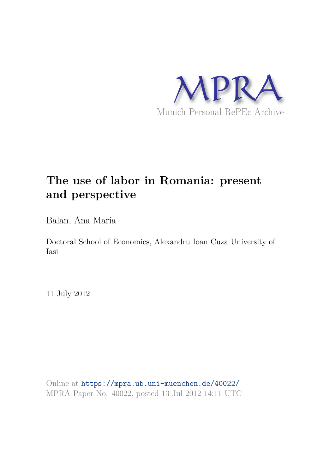

# **The use of labor in Romania: present and perspective**

Balan, Ana Maria

Doctoral School of Economics, Alexandru Ioan Cuza University of Iasi

11 July 2012

Online at https://mpra.ub.uni-muenchen.de/40022/ MPRA Paper No. 40022, posted 13 Jul 2012 14:11 UTC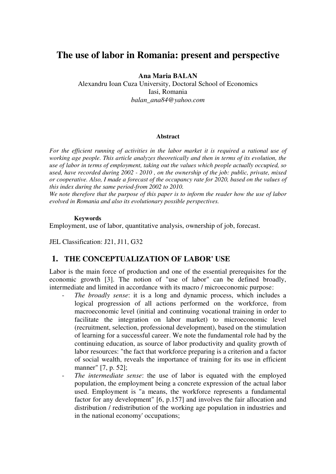# **The use of labor in Romania: present and perspective**

#### **Ana Maria BALAN**

Alexandru Ioan Cuza University, Doctoral School of Economics Iasi, Romania *balan\_ana84@yahoo.com* 

#### **Abstract**

For the efficient running of activities in the labor market it is required a rational use of *working age people. This article analyzes theoretically and then in terms of its evolution, the use of labor in terms of employment, taking out the values which people actually occupied, so used, have recorded during 2002 - 2010 , on the ownership of the job: public, private, mixed or cooperative. Also, I made a forecast of the occupancy rate for 2020, based on the values of this index during the same period-from 2002 to 2010.* 

*We note therefore that the purpose of this paper is to inform the reader how the use of labor evolved in Romania and also its evolutionary possible perspectives.*

#### **Keywords**

Employment, use of labor, quantitative analysis, ownership of job, forecast.

JEL Classification: J21, J11, G32

# **1. THE CONCEPTUALIZATION OF LABOR' USE**

Labor is the main force of production and one of the essential prerequisites for the economic growth [3]. The notion of "use of labor" can be defined broadly, intermediate and limited in accordance with its macro / microeconomic purpose:

- The broadly sense: it is a long and dynamic process, which includes a logical progression of all actions performed on the workforce, from macroeconomic level (initial and continuing vocational training in order to facilitate the integration on labor market) to microeconomic level (recruitment, selection, professional development), based on the stimulation of learning for a successful career. We note the fundamental role had by the continuing education, as source of labor productivity and quality growth of labor resources: "the fact that workforce preparing is a criterion and a factor of social wealth, reveals the importance of training for its use in efficient manner" [7, p. 52];
- The *intermediate sense*: the use of labor is equated with the employed population, the employment being a concrete expression of the actual labor used. Employment is "a means, the workforce represents a fundamental factor for any development" [6, p.157] and involves the fair allocation and distribution / redistribution of the working age population in industries and in the national economy' occupations;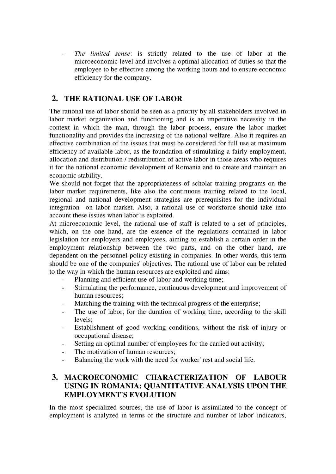The *limited sense*: is strictly related to the use of labor at the microeconomic level and involves a optimal allocation of duties so that the employee to be effective among the working hours and to ensure economic efficiency for the company.

# **2. THE RATIONAL USE OF LABOR**

The rational use of labor should be seen as a priority by all stakeholders involved in labor market organization and functioning and is an imperative necessity in the context in which the man, through the labor process, ensure the labor market functionality and provides the increasing of the national welfare. Also it requires an effective combination of the issues that must be considered for full use at maximum efficiency of available labor, as the foundation of stimulating a fairly employment, allocation and distribution / redistribution of active labor in those areas who requires it for the national economic development of Romania and to create and maintain an economic stability.

We should not forget that the appropriateness of scholar training programs on the labor market requirements, like also the continuous training related to the local, regional and national development strategies are prerequisites for the individual integration on labor market. Also, a rational use of workforce should take into account these issues when labor is exploited.

At microeconomic level, the rational use of staff is related to a set of principles, which, on the one hand, are the essence of the regulations contained in labor legislation for employers and employees, aiming to establish a certain order in the employment relationship between the two parts, and on the other hand, are dependent on the personnel policy existing in companies. In other words, this term should be one of the companies' objectives. The rational use of labor can be related to the way in which the human resources are exploited and aims:

- Planning and efficient use of labor and working time;
- Stimulating the performance, continuous development and improvement of human resources;
- Matching the training with the technical progress of the enterprise;
- The use of labor, for the duration of working time, according to the skill levels;
- Establishment of good working conditions, without the risk of injury or occupational disease;
- Setting an optimal number of employees for the carried out activity;
- The motivation of human resources:
- Balancing the work with the need for worker' rest and social life.

# **3. MACROECONOMIC CHARACTERIZATION OF LABOUR USING IN ROMANIA: QUANTITATIVE ANALYSIS UPON THE EMPLOYMENT'S EVOLUTION**

In the most specialized sources, the use of labor is assimilated to the concept of employment is analyzed in terms of the structure and number of labor' indicators,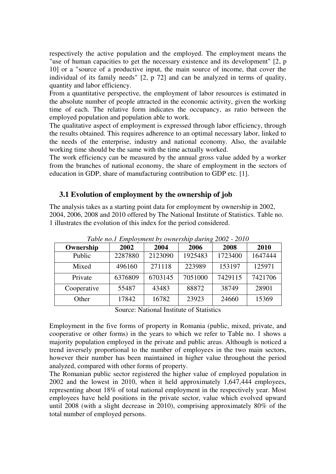respectively the active population and the employed. The employment means the "use of human capacities to get the necessary existence and its development" [2, p 10] or a "source of a productive input, the main source of income, that cover the individual of its family needs" [2, p 72] and can be analyzed in terms of quality, quantity and labor efficiency.

From a quantitative perspective, the employment of labor resources is estimated in the absolute number of people attracted in the economic activity, given the working time of each. The relative form indicates the occupancy, as ratio between the employed population and population able to work.

The qualitative aspect of employment is expressed through labor efficiency, through the results obtained. This requires adherence to an optimal necessary labor, linked to the needs of the enterprise, industry and national economy. Also, the available working time should be the same with the time actually worked.

The work efficiency can be measured by the annual gross value added by a worker from the branches of national economy, the share of employment in the sectors of education in GDP, share of manufacturing contribution to GDP etc. [1].

## **3.1 Evolution of employment by the ownership of job**

The analysis takes as a starting point data for employment by ownership in 2002, 2004, 2006, 2008 and 2010 offered by The National Institute of Statistics. Table no. 1 illustrates the evolution of this index for the period considered.

| Ownership   | 2002    | 2004    | 2006    | 2008    | 2010    |
|-------------|---------|---------|---------|---------|---------|
| Public      | 2287880 | 2123090 | 1925483 | 1723400 | 1647444 |
| Mixed       | 496160  | 271118  | 223989  | 153197  | 125971  |
| Private     | 6376809 | 6703145 | 7051000 | 7429115 | 7421706 |
| Cooperative | 55487   | 43483   | 88872   | 38749   | 28901   |
| Other       | 17842   | 16782   | 23923   | 24660   | 15369   |

*Table no.1 Employment by ownership during 2002 - 2010* 

Source: National Institute of Statistics

Employment in the five forms of property in Romania (public, mixed, private, and cooperative or other forms) in the years to which we refer to Table no. 1 shows a majority population employed in the private and public areas. Although is noticed a trend inversely proportional to the number of employees in the two main sectors, however their number has been maintained in higher value throughout the period analyzed, compared with other forms of property.

The Romanian public sector registered the higher value of employed population in 2002 and the lowest in 2010, when it held approximately 1,647,444 employees, representing about 18% of total national employment in the respectively year. Most employees have held positions in the private sector, value which evolved upward until 2008 (with a slight decrease in 2010), comprising approximately 80% of the total number of employed persons.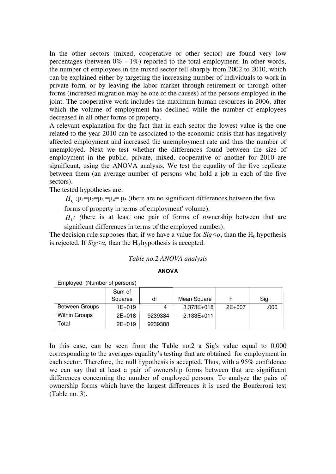In the other sectors (mixed, cooperative or other sector) are found very low percentages (between 0% - 1%) reported to the total employment. In other words, the number of employees in the mixed sector fell sharply from 2002 to 2010, which can be explained either by targeting the increasing number of individuals to work in private form, or by leaving the labor market through retirement or through other forms (increased migration may be one of the causes) of the persons employed in the joint. The cooperative work includes the maximum human resources in 2006, after which the volume of employment has declined while the number of employees decreased in all other forms of property.

A relevant explanation for the fact that in each sector the lowest value is the one related to the year 2010 can be associated to the economic crisis that has negatively affected employment and increased the unemployment rate and thus the number of unemployed. Next we test whether the differences found between the size of employment in the public, private, mixed, cooperative or another for 2010 are significant, using the ANOVA analysis. We test the equality of the five replicate between them (an average number of persons who hold a job in each of the five sectors).

The tested hypotheses are:

 $H_0: \mu_1 = \mu_2 = \mu_3 = \mu_4 = \mu_5$  (there are no significant differences between the five

forms of property in terms of employment' volume).

 $H_1$ : (there is at least one pair of forms of ownership between that are significant differences in terms of the employed number).

The decision rule supposes that, if we have a value for  $\frac{Sig}{\alpha}$ , than the H<sub>0</sub> hypothesis is rejected. If  $\text{Sig} \leq \alpha$ , than the H<sub>0</sub> hypothesis is accepted.

#### *Table no.2 ANOVA analysis*

#### **ANOVA**

|                      | Sum of     |         |             |          |      |
|----------------------|------------|---------|-------------|----------|------|
|                      | Squares    | df      | Mean Square |          | Sig. |
| Between Groups       | $1E + 019$ | 4       | 3.373E+018  | $2E+007$ | .000 |
| <b>Within Groups</b> | $2E+018$   | 9239384 | 2.133E+011  |          |      |
| Total                | $2E+019$   | 9239388 |             |          |      |

Employed (Number of persons)

In this case, can be seen from the Table no.2 a Sig's value equal to 0.000 corresponding to the averages equality's testing that are obtained for employment in each sector. Therefore, the null hypothesis is accepted. Thus, with a 95% confidence we can say that at least a pair of ownership forms between that are significant differences concerning the number of employed persons. To analyze the pairs of ownership forms which have the largest differences it is used the Bonferroni test (Table no. 3).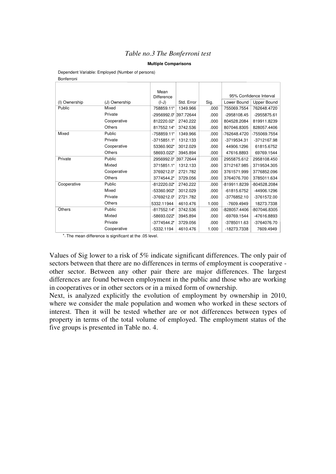#### *Table no.3 The Bonferroni test*

#### **Multiple Comparisons**

Dependent Variable: Employed (Number of persons) Bonferroni

|               |               | Mean          |            |       |                         |              |
|---------------|---------------|---------------|------------|-------|-------------------------|--------------|
|               |               | Difference    |            |       | 95% Confidence Interval |              |
| (I) Ownership | (J) Ownership | $(I-J)$       | Std. Error | Sig.  | Lower Bound             | Upper Bound  |
| Public        | Mixed         | 758859.11*    | 1349.966   | .000  | 755069.7554             | 762648.4720  |
|               | Private       | $-2956992.0*$ | 397.72644  | .000  | -2958108.45             | -2955875.61  |
|               | Cooperative   | 812220.02*    | 2740.222   | .000  | 804528.2084             | 819911.8239  |
|               | Others        | 817552.14*    | 3742.536   | .000  | 807046.8305             | 828057.4406  |
| Mixed         | Public        | -758859.11*   | 1349.966   | .000  | -762648.4720            | -755069.7554 |
|               | Private       | $-3715851.1*$ | 1312.133   | .000  | -3719534.31             | -3712167.98  |
|               | Cooperative   | 53360.902*    | 3012.029   | .000  | 44906.1296              | 61815.6752   |
|               | Others        | 58693.022*    | 3945.894   | .000  | 47616.8893              | 69769.1544   |
| Private       | Public        | 2956992.0*    | 397.72644  | .000  | 2955875.612             | 2958108.450  |
|               | Mixted        | 3715851.1*    | 1312.133   | .000  | 3712167.985             | 3719534.305  |
|               | Cooperative   | 3769212.0*    | 2721.782   | .000  | 3761571.999             | 3776852.096  |
|               | Others        | 3774544.2*    | 3729.056   | .000  | 3764076.700             | 3785011.634  |
| Cooperative   | Public        | $-812220.02*$ | 2740.222   | .000  | -819911.8239            | -804528.2084 |
|               | Mixed         | -53360.902*   | 3012.029   | .000  | $-61815.6752$           | -44906.1296  |
|               | Private       | $-3769212.0*$ | 2721.782   | .000  | $-3776852.10$           | -3761572.00  |
|               | Others        | 5332.11944    | 4610.476   | 1.000 | -7609.4949              | 18273.7338   |
| Others        | Public        | $-817552.14*$ | 3742.536   | .000  | -828057.4406            | -807046.8305 |
|               | Mixted        | -58693.022*   | 3945.894   | .000  | -69769.1544             | -47616.8893  |
|               | Private       | $-3774544.2*$ | 3729.056   | .000  | -3785011.63             | -3764076.70  |
|               | Cooperative   | $-5332.1194$  | 4610.476   | 1.000 | -18273.7338             | 7609.4949    |

\*. The mean difference is significant at the .05 level.

Values of Sig lower to a risk of 5% indicate significant differences. The only pair of sectors between that there are no differences in terms of employment is cooperative other sector. Between any other pair there are major differences. The largest differences are found between employment in the public and those who are working in cooperatives or in other sectors or in a mixed form of ownership.

Next, is analyzed explicitly the evolution of employment by ownership in 2010, where we consider the male population and women who worked in these sectors of interest. Then it will be tested whether are or not differences between types of property in terms of the total volume of employed. The employment status of the five groups is presented in Table no. 4.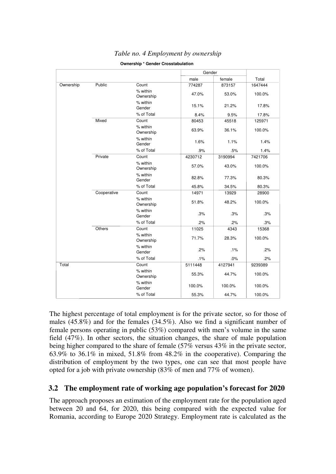|           |             |                       |         | Gender  |         |
|-----------|-------------|-----------------------|---------|---------|---------|
|           |             |                       | male    | female  | Total   |
| Ownership | Public      | Count                 | 774287  | 873157  | 1647444 |
|           |             | % within<br>Ownership | 47.0%   | 53.0%   | 100.0%  |
|           |             | % within<br>Gender    | 15.1%   | 21.2%   | 17.8%   |
|           |             | % of Total            | 8.4%    | 9.5%    | 17.8%   |
|           | Mixed       | Count                 | 80453   | 45518   | 125971  |
|           |             | % within<br>Ownership | 63.9%   | 36.1%   | 100.0%  |
|           |             | % within<br>Gender    | 1.6%    | 1.1%    | 1.4%    |
|           |             | % of Total            | .9%     | .5%     | 1.4%    |
|           | Private     | Count                 | 4230712 | 3190994 | 7421706 |
|           |             | % within<br>Ownership | 57.0%   | 43.0%   | 100.0%  |
|           |             | % within<br>Gender    | 82.8%   | 77.3%   | 80.3%   |
|           |             | % of Total            | 45.8%   | 34.5%   | 80.3%   |
|           | Cooperative | Count                 | 14971   | 13929   | 28900   |
|           |             | % within<br>Ownership | 51.8%   | 48.2%   | 100.0%  |
|           |             | % within<br>Gender    | .3%     | .3%     | .3%     |
|           |             | % of Total            | .2%     | .2%     | .3%     |
|           | Others      | Count                 | 11025   | 4343    | 15368   |
|           |             | % within<br>Ownership | 71.7%   | 28.3%   | 100.0%  |
|           |             | % within<br>Gender    | .2%     | .1%     | .2%     |
|           |             | % of Total            | .1%     | .0%     | .2%     |
| Total     |             | Count                 | 5111448 | 4127941 | 9239389 |
|           |             | % within<br>Ownership | 55.3%   | 44.7%   | 100.0%  |
|           |             | % within<br>Gender    | 100.0%  | 100.0%  | 100.0%  |
|           |             | % of Total            | 55.3%   | 44.7%   | 100.0%  |

## *Table no. 4 Employment by ownership*

**Ownership \* Gender Crosstabulation**

The highest percentage of total employment is for the private sector, so for those of males (45.8%) and for the females (34.5%). Also we find a significant number of female persons operating in public (53%) compared with men's volume in the same field (47%). In other sectors, the situation changes, the share of male population being higher compared to the share of female (57% versus 43% in the private sector, 63.9% to 36.1% in mixed, 51.8% from 48.2% in the cooperative). Comparing the distribution of employment by the two types, one can see that most people have opted for a job with private ownership (83% of men and 77% of women).

# **3.2 The employment rate of working age population's forecast for 2020**

The approach proposes an estimation of the employment rate for the population aged between 20 and 64, for 2020, this being compared with the expected value for Romania, according to Europe 2020 Strategy. Employment rate is calculated as the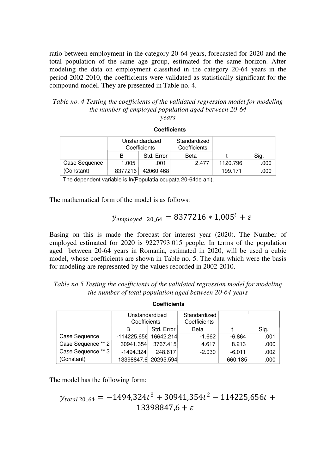ratio between employment in the category 20-64 years, forecasted for 2020 and the total population of the same age group, estimated for the same horizon. After modeling the data on employment classified in the category 20-64 years in the period 2002-2010, the coefficients were validated as statistically significant for the compound model. They are presented in Table no. 4.

*Table no. 4 Testing the coefficients of the validated regression model for modeling the number of employed population aged between 20-64 years*

**Coefficients** 1.005 .001 2.477 1120.796 .000 8377216 42060.468 199.171 .000 Case Sequence (Constant) B Std. Error Unstandardized **Coefficients** Beta Standardized **Coefficients** t Sig.

The dependent variable is ln(Populatia ocupata 20-64de ani).

The mathematical form of the model is as follows:

# $y_{employed\ 20.64} = 8377216 * 1,005^t + \varepsilon$

Basing on this is made the forecast for interest year (2020). The Number of employed estimated for 2020 is 9227793.015 people. In terms of the population aged between 20-64 years in Romania, estimated in 2020, will be used a cubic model, whose coefficients are shown in Table no. 5. The data which were the basis for modeling are represented by the values recorded in 2002-2010.

| Table no.5 Testing the coefficients of the validated regression model for modeling |
|------------------------------------------------------------------------------------|
| the number of total population aged between 20-64 years                            |

**Coefficients**

|                    | Unstandardized |            | Standardized |          |      |  |
|--------------------|----------------|------------|--------------|----------|------|--|
|                    | Coefficients   |            | Coefficients |          |      |  |
|                    | В              | Std. Error | Beta         |          | Sig. |  |
| Case Sequence      | $-114225.656$  | 16642.214  | $-1.662$     | $-6.864$ | .001 |  |
| Case Sequence ** 2 | 30941.354      | 3767.415   | 4.617        | 8.213    | .000 |  |
| Case Sequence ** 3 | $-1494.324$    | 248.617    | $-2.030$     | $-6.011$ | .002 |  |
| (Constant)         | 13398847.6     | 20295.594  |              | 660.185  | .000 |  |

The model has the following form:

$$
y_{total\,20\_64} = -1494,324t^3 + 30941,354t^2 - 114225,656t + 13398847,6 + \varepsilon
$$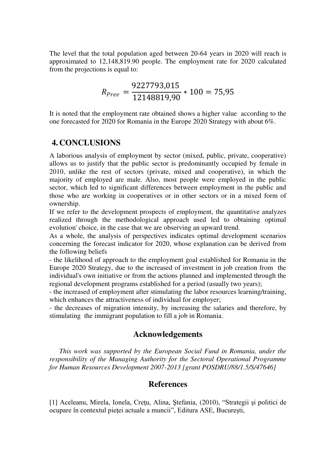The level that the total population aged between 20-64 years in 2020 will reach is approximated to 12,148,819.90 people. The employment rate for 2020 calculated from the projections is equal to:

$$
R_{prev} = \frac{9227793,015}{12148819,90} * 100 = 75,95
$$

It is noted that the employment rate obtained shows a higher value according to the one forecasted for 2020 for Romania in the Europe 2020 Strategy with about 6%.

# **4. CONCLUSIONS**

A laborious analysis of employment by sector (mixed, public, private, cooperative) allows us to justify that the public sector is predominantly occupied by female in 2010, unlike the rest of sectors (private, mixed and cooperative), in which the majority of employed are male. Also, most people were employed in the public sector, which led to significant differences between employment in the public and those who are working in cooperatives or in other sectors or in a mixed form of ownership.

If we refer to the development prospects of employment, the quantitative analyzes realized through the methodological approach used led to obtaining optimal evolution' choice, in the case that we are observing an upward trend.

As a whole, the analysis of perspectives indicates optimal development scenarios concerning the forecast indicator for 2020, whose explanation can be derived from the following beliefs

- the likelihood of approach to the employment goal established for Romania in the Europe 2020 Strategy, due to the increased of investment in job creation from the individual's own initiative or from the actions planned and implemented through the regional development programs established for a period (usually two years);

- the increased of employment after stimulating the labor resources learning/training, which enhances the attractiveness of individual for employer;

- the decreases of migration intensity, by increasing the salaries and therefore, by stimulating the immigrant population to fill a job in Romania.

## **Acknowledgements**

*This work was supported by the European Social Fund in Romania, under the responsibility of the Managing Authority for the Sectoral Operational Programme for Human Resources Development 2007-2013 [grant POSDRU/88/1.5/S/47646]* 

## **References**

[1] Aceleanu, Mirela, Ionela, Creţu, Alina, Ştefania, (2010), "Strategii şi politici de ocupare în contextul pieţei actuale a muncii", Editura ASE, Bucureşti,